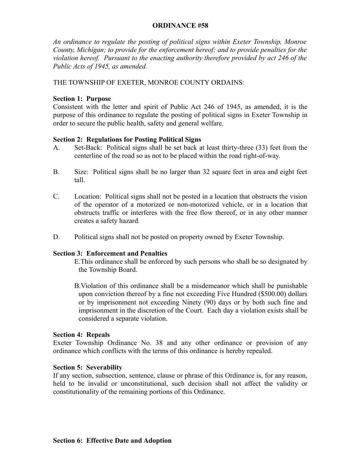## **ORDINANCE #58**

*An ordinance to regulate the posting of political signs within Exeter Township, Monroe County, Michigan; to provide for the enforcement hereof; and to provide penalties for the violation hereof. Pursuant to the enacting authority therefore provided by act 246 of the Public Acts of 1945, as amended.*

THE TOWNSHIP OF EXETER, MONROE COUNTY ORDAINS:

## **Section 1: Purpose**

Consistent with the letter and spirit of Public Act 246 of 1945, as amended, it is the purpose of this ordinance to regulate the posting of political signs in Exeter Township in order to secure the public health, safety and general welfare.

# **Section 2: Regulations for Posting Political Signs**

- A. Set-Back: Political signs shall be set back at least thirty-three (33) feet from the centerline of the road so as not to be placed within the road right-of-way.
- B. Size: Political signs shall be no larger than 32 square feet in area and eight feet tall.
- C. Location: Political signs shall not be posted in a location that obstructs the vision of the operator of a motorized or non-motorized vehicle, or in a location that obstructs traffic or interferes with the free flow thereof, or in any other manner creates a safety hazard.
- D. Political signs shall not be posted on property owned by Exeter Township.

## **Section 3: Enforcement and Penalties**

E.This ordinance shall be enforced by such persons who shall be so designated by the Township Board.

B.Violation of this ordinance shall be a misdemeanor which shall be punishable upon conviction thereof by a fine not exceeding Five Hundred (\$500.00) dollars or by imprisonment not exceeding Ninety (90) days or by both such fine and imprisonment in the discretion of the Court. Each day a violation exists shall be considered a separate violation.

## **Section 4: Repeals**

Exeter Township Ordinance No. 38 and any other ordinance or provision of any ordinance which conflicts with the terms of this ordinance is hereby repealed.

## **Section 5: Severability**

If any section, subsection, sentence, clause or phrase of this Ordinance is, for any reason, held to be invalid or unconstitutional, such decision shall not affect the validity or constitutionality of the remaining portions of this Ordinance.